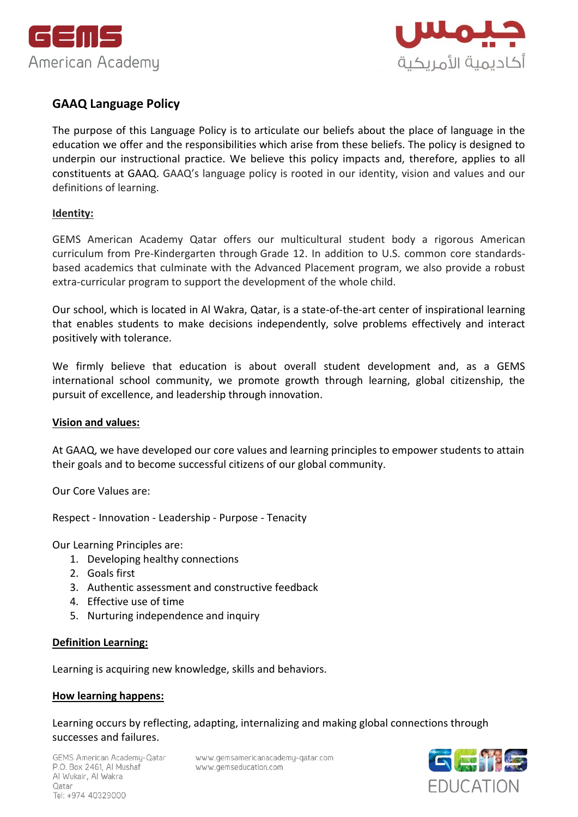



# **GAAQ Language Policy**

The purpose of this Language Policy is to articulate our beliefs about the place of language in the education we offer and the responsibilities which arise from these beliefs. The policy is designed to underpin our instructional practice. We believe this policy impacts and, therefore, applies to all constituents at GAAQ. GAAQ's language policy is rooted in our identity, vision and values and our definitions of learning.

#### **Identity:**

GEMS American Academy Qatar offers our multicultural student body a rigorous American curriculum from Pre-Kindergarten through Grade 12. In addition to U.S. common core standardsbased academics that culminate with the Advanced Placement program, we also provide a robust extra-curricular program to support the development of the whole child.

Our school, which is located in Al Wakra, Qatar, is a state-of-the-art center of inspirational learning that enables students to make decisions independently, solve problems effectively and interact positively with tolerance.

We firmly believe that education is about overall student development and, as a GEMS international school community, we promote growth through learning, global citizenship, the pursuit of excellence, and leadership through innovation.

#### **Vision and values:**

At GAAQ, we have developed our core values and learning principles to empower students to attain their goals and to become successful citizens of our global community.

Our Core Values are:

Respect - Innovation - Leadership - Purpose - Tenacity

Our Learning Principles are:

- 1. Developing healthy connections
- 2. Goals first
- 3. Authentic assessment and constructive feedback
- 4. Effective use of time
- 5. Nurturing independence and inquiry

#### **[Definition Learning:](https://docs.google.com/document/d/19dv82TqC3Yk0yhAB5hrfUXvkKHD7Nx9lQElXeZAKgxI/edit)**

Learning is acquiring new knowledge, skills and behaviors.

#### **[How learning happens:](https://docs.google.com/document/d/19dv82TqC3Yk0yhAB5hrfUXvkKHD7Nx9lQElXeZAKgxI/edit)**

Learning occurs by reflecting, adapting, internalizing and making global connections through successes and failures.

www.gemsamericanacademy-qatar.com www.gemseducation.com

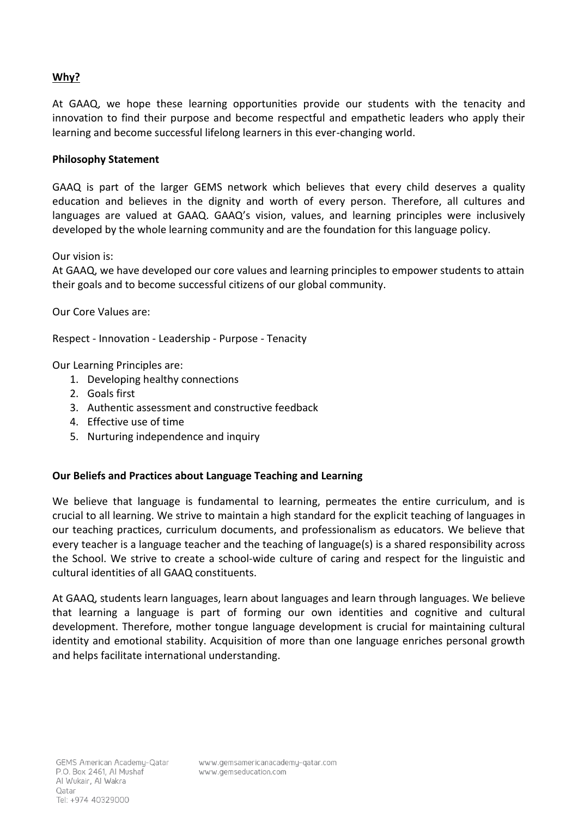# **[Why?](https://docs.google.com/document/d/19dv82TqC3Yk0yhAB5hrfUXvkKHD7Nx9lQElXeZAKgxI/edit)**

At GAAQ, we hope these learning opportunities provide our students with the tenacity and innovation to find their purpose and become respectful and empathetic leaders who apply their learning and become successful lifelong learners in this ever-changing world.

#### **Philosophy Statement**

GAAQ is part of the larger GEMS network which believes that every child deserves a quality education and believes in the dignity and worth of every person. Therefore, all cultures and languages are valued at GAAQ. GAAQ's vision, values, and learning principles were inclusively developed by the whole learning community and are the foundation for this language policy.

#### Our vision is:

At GAAQ, we have developed our core values and learning principles to empower students to attain their goals and to become successful citizens of our global community.

Our Core Values are:

Respect - Innovation - Leadership - Purpose - Tenacity

Our Learning Principles are:

- 1. Developing healthy connections
- 2. Goals first
- 3. Authentic assessment and constructive feedback
- 4. Effective use of time
- 5. Nurturing independence and inquiry

### **Our Beliefs and Practices about Language Teaching and Learning**

We believe that language is fundamental to learning, permeates the entire curriculum, and is crucial to all learning. We strive to maintain a high standard for the explicit teaching of languages in our teaching practices, curriculum documents, and professionalism as educators. We believe that every teacher is a language teacher and the teaching of language(s) is a shared responsibility across the School. We strive to create a school-wide culture of caring and respect for the linguistic and cultural identities of all GAAQ constituents.

At GAAQ, students learn languages, learn about languages and learn through languages. We believe that learning a language is part of forming our own identities and cognitive and cultural development. Therefore, mother tongue language development is crucial for maintaining cultural identity and emotional stability. Acquisition of more than one language enriches personal growth and helps facilitate international understanding.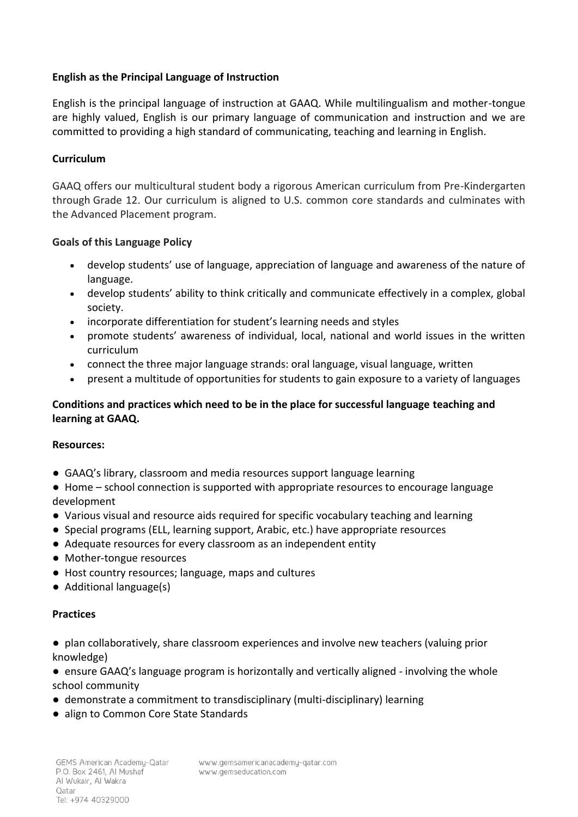### **English as the Principal Language of Instruction**

English is the principal language of instruction at GAAQ. While multilingualism and mother-tongue are highly valued, English is our primary language of communication and instruction and we are committed to providing a high standard of communicating, teaching and learning in English.

### **Curriculum**

GAAQ offers our multicultural student body a rigorous American curriculum from Pre-Kindergarten through Grade 12. Our curriculum is aligned to U.S. common core standards and culminates with the Advanced Placement program.

### **Goals of this Language Policy**

- develop students' use of language, appreciation of language and awareness of the nature of language.
- develop students' ability to think critically and communicate effectively in a complex, global society.
- incorporate differentiation for student's learning needs and styles
- promote students' awareness of individual, local, national and world issues in the written curriculum
- connect the three major language strands: oral language, visual language, written
- present a multitude of opportunities for students to gain exposure to a variety of languages

# **Conditions and practices which need to be in the place for successful language teaching and learning at GAAQ.**

### **Resources:**

- GAAQ's library, classroom and media resources support language learning
- *●* Home school connection is supported with appropriate resources to encourage language development
- Various visual and resource aids required for specific vocabulary teaching and learning
- *●* Special programs (ELL, learning support, Arabic, etc.) have appropriate resources
- *●* Adequate resources for every classroom as an independent entity
- *●* Mother-tongue resources
- *●* Host country resources; language, maps and cultures
- Additional language(s)

### **Practices**

- plan collaboratively, share classroom experiences and involve new teachers (valuing prior knowledge)
- ensure GAAQ's language program is horizontally and vertically aligned involving the whole school community
- demonstrate a commitment to transdisciplinary (multi-disciplinary) learning
- align to Common Core State Standards